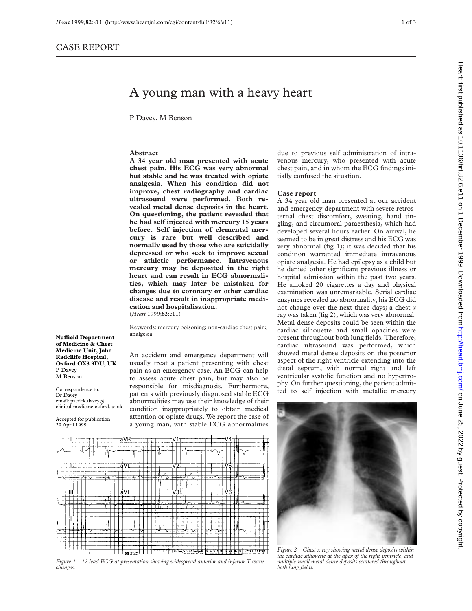## A young man with a heavy heart

P Davey, M Benson

## **Abstract**

**A 34 year old man presented with acute chest pain. His ECG was very abnormal but stable and he was treated with opiate analgesia. When his condition did not improve, chest radiography and cardiac ultrasound were performed. Both revealed metal dense deposits in the heart. On questioning, the patient revealed that he had self injected with mercury 15 years before. Self injection of elemental mercury is rare but well described and normally used by those who are suicidally depressed or who seek to improve sexual or athletic performance. Intravenous mercury may be deposited in the right heart and can result in ECG abnormalities, which may later be mistaken for changes due to coronary or other cardiac disease and result in inappropriate medication and hospitalisation.** (*Heart* 1999;**82**:e11)

Keywords: mercury poisoning; non-cardiac chest pain; analgesia

**NuYeld Department of Medicine & Chest Medicine Unit, John RadcliVe Hospital, Oxford OX3 9DU, UK** P Davey M Benson

Correspondence to: Dr Davey email: patrick.davey@ clinical-medicine.oxford.ac.uk

Accepted for publication 29 April 1999

An accident and emergency department will usually treat a patient presenting with chest pain as an emergency case. An ECG can help to assess acute chest pain, but may also be responsible for misdiagnosis. Furthermore, patients with previously diagnosed stable ECG abnormalities may use their knowledge of their condition inappropriately to obtain medical attention or opiate drugs. We report the case of a young man, with stable ECG abnormalities

due to previous self administration of intravenous mercury, who presented with acute chest pain, and in whom the ECG findings initially confused the situation.

## **Case report**

A 34 year old man presented at our accident and emergency department with severe retrosternal chest discomfort, sweating, hand tingling, and circumoral paraesthesia, which had developed several hours earlier. On arrival, he seemed to be in great distress and his ECG was very abnormal (fig 1); it was decided that his condition warranted immediate intravenous opiate analgesia. He had epilepsy as a child but he denied other significant previous illness or hospital admission within the past two years. He smoked 20 cigarettes a day and physical examination was unremarkable. Serial cardiac enzymes revealed no abnormality, his ECG did not change over the next three days; a chest *x* ray was taken (fig 2), which was very abnormal. Metal dense deposits could be seen within the cardiac silhouette and small opacities were present throughout both lung fields. Therefore, cardiac ultrasound was performed, which showed metal dense deposits on the posterior aspect of the right ventricle extending into the distal septum, with normal right and left ventricular systolic function and no hypertrophy. On further questioning, the patient admitted to self injection with metallic mercury



*Figure 1 12 lead ECG at presentation showing widespread anterior and inferior T wave changes.*



*Figure 2 Chest x ray showing metal dense deposits within the cardiac silhouette at the apex of the right ventricle, and multiple small metal dense deposits scattered throughout both lung fields.*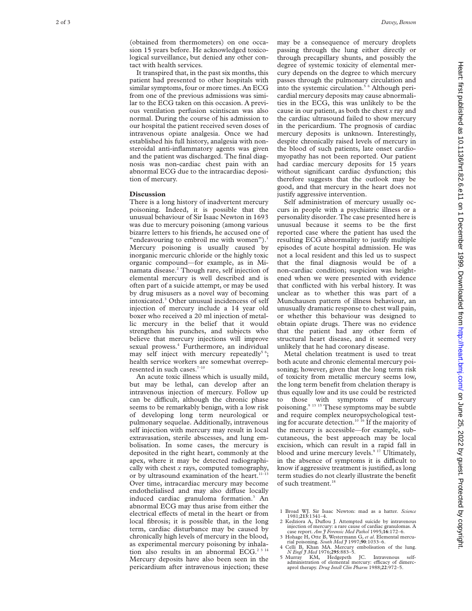(obtained from thermometers) on one occasion 15 years before. He acknowledged toxicological surveillance, but denied any other contact with health services.

It transpired that, in the past six months, this patient had presented to other hospitals with similar symptoms, four or more times. An ECG from one of the previous admissions was similar to the ECG taken on this occasion. A previous ventilation perfusion scintiscan was also normal. During the course of his admission to our hospital the patient received seven doses of intravenous opiate analgesia. Once we had established his full history, analgesia with nonsteroidal anti-inflammatory agents was given and the patient was discharged. The final diagnosis was non-cardiac chest pain with an abnormal ECG due to the intracardiac deposition of mercury.

## **Discussion**

There is a long history of inadvertent mercury poisoning. Indeed, it is possible that the unusual behaviour of Sir Isaac Newton in 1693 was due to mercury poisoning (among various bizarre letters to his friends, he accused one of "endeavouring to embroil me with women").<sup>1</sup> Mercury poisoning is usually caused by inorganic mercuric chloride or the highly toxic organic compound—for example, as in Minamata disease.2 Though rare, self injection of elemental mercury is well described and is often part of a suicide attempt, or may be used by drug misusers as a novel way of becoming intoxicated. <sup>3</sup> Other unusual incidencess of self injection of mercury include a 14 year old boxer who received a 20 ml injection of metallic mercury in the belief that it would strengthen his punches, and subjects who believe that mercury injections will improve sexual prowess. <sup>4</sup> Furthermore, an individual may self inject with mercury repeatedly<sup>56</sup>; health service workers are somewhat overrepresented in such cases. $7-10$ 

An acute toxic illness which is usually mild, but may be lethal, can develop after an intravenous injection of mercury. Follow up can be difficult, although the chronic phase seems to be remarkably benign, with a low risk of developing long term neurological or pulmonary sequelae. Additionally, intravenous self injection with mercury may result in local extravasation, sterile abscesses, and lung embolisation. In some cases, the mercury is deposited in the right heart, commonly at the apex, where it may be detected radiographically with chest *x* rays, computed tomography, or by ultrasound examination of the heart.<sup>11-13</sup> Over time, intracardiac mercury may become endothelialised and may also diffuse locally induced cardiac granuloma formation. <sup>3</sup> An abnormal ECG may thus arise from either the electrical effects of metal in the heart or from local fibrosis; it is possible that, in the long term, cardiac disturbance may be caused by chronically high levels of mercury in the blood, as experimental mercury poisoning by inhalation also results in an abnormal ECG.<sup>2 3 14</sup> Mercury deposits have also been seen in the pericardium after intravenous injection; these may be a consequence of mercury droplets passing through the lung either directly or through precapillary shunts, and possibly the degree of systemic toxicity of elemental mercury depends on the degree to which mercury passes through the pulmonary circulation and into the systemic circulation.5 6 Although pericardial mercury deposits may cause abnormalities in the ECG, this was unlikely to be the cause in our patient, as both the chest *x* ray and the cardiac ultrasound failed to show mercury in the pericardium. The prognosis of cardiac mercury deposits is unknown. Interestingly, despite chronically raised levels of mercury in the blood of such patients, late onset cardiomyopathy has not been reported. Our patient had cardiac mercury deposits for 15 years without significant cardiac dysfunction; this therefore suggests that the outlook may be good, and that mercury in the heart does not justify aggressive intervention.

Self administration of mercury usually occurs in people with a psychiatric illness or a personality disorder. The case presented here is unusual because it seems to be the first reported case where the patient has used the resulting ECG abnormality to justify multiple episodes of acute hospital admission. He was not a local resident and this led us to suspect that the final diagnosis would be of a non-cardiac condition; suspicion was heightened when we were presented with evidence that conflicted with his verbal history. It was unclear as to whether this was part of a Munchausen pattern of illness behaviour, an unusually dramatic response to chest wall pain, or whether this behaviour was designed to obtain opiate drugs. There was no evidence that the patient had any other form of structural heart disease, and it seemed very unlikely that he had coronary disease.

Metal chelation treatment is used to treat both acute and chronic elemental mercury poisoning; however, given that the long term risk of toxicity from metallic mercury seems low, the long term benefit from chelation therapy is thus equally low and its use could be restricted to those with symptoms of mercury poisoning.<sup>9 13 15</sup> These symptoms may be subtle and require complex neuropsychological testing for accurate detection.10 16 If the majority of the mercury is accessible—for example, subcutaneous, the best approach may be local excision, which can result in a rapid fall in blood and urine mercury levels.<sup>9 17</sup> Ultimately, in the absence of symptoms it is difficult to know if aggressive treatment is justified, as long term studies do not clearly illustrate the benefit of such treatment.<sup>18</sup>

- 2 Kedziora A, Duflou J. Attempted suicide by intravenous injection of mercury: a rare cause of cardiac granulomas. A case report. *Am J Forensic Med Pathol* 1995;**16**:172–6.
- 3 Hohage H, Otte B, Westermann G, *et al*. Elemental mercu-rial poisoning. *South Med J* 1997;**90**:1033–6.
- 4 Celli B, Khan MA. Mercury embolisation of the lung. *N Engl J Med* 1976;**295**:883–5.
- 5 Murray KM, Hedgepeth JC. Intravenous self-<br>administration of elemental mercury: efficacy of dimercaprol therapy. *Drug Intell Clin Pharm* 1988;**22**:972–5.

<sup>1</sup> Broad WJ. Sir Isaac Newton: mad as a hatter. *Science* 1981;**213**:1341–4.